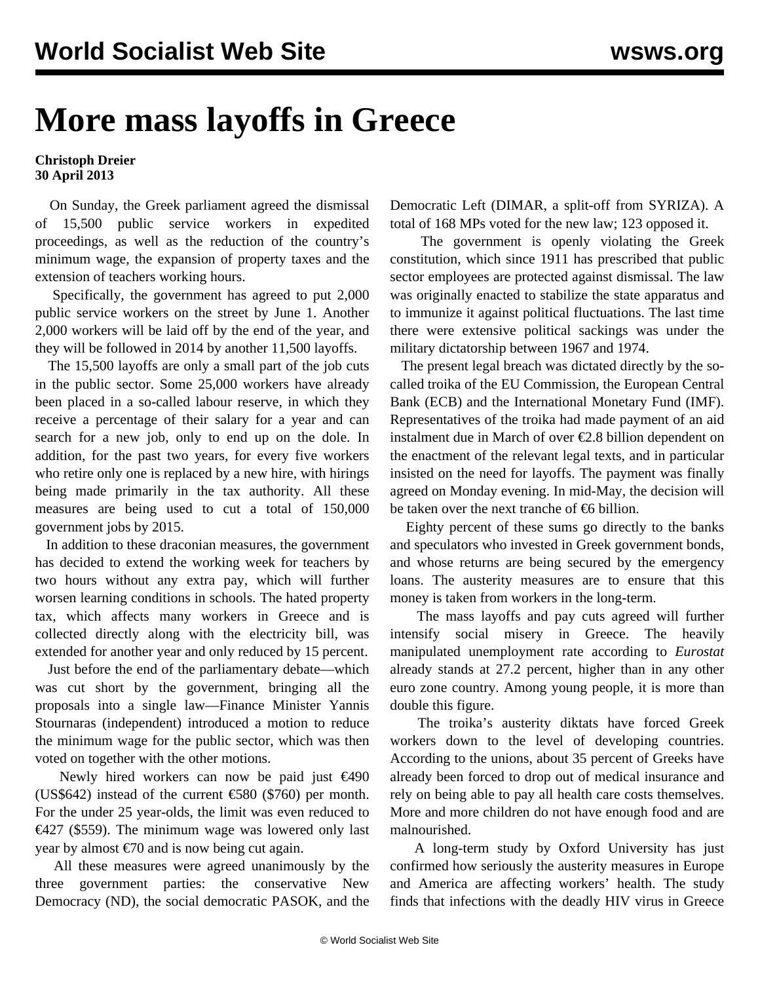## **More mass layoffs in Greece**

## **Christoph Dreier 30 April 2013**

 On Sunday, the Greek parliament agreed the dismissal of 15,500 public service workers in expedited proceedings, as well as the reduction of the country's minimum wage, the expansion of property taxes and the extension of teachers working hours.

 Specifically, the government has agreed to put 2,000 public service workers on the street by June 1. Another 2,000 workers will be laid off by the end of the year, and they will be followed in 2014 by another 11,500 layoffs.

 The 15,500 layoffs are only a small part of the job cuts in the public sector. Some 25,000 workers have already been placed in a so-called labour reserve, in which they receive a percentage of their salary for a year and can search for a new job, only to end up on the dole. In addition, for the past two years, for every five workers who retire only one is replaced by a new hire, with hirings being made primarily in the tax authority. All these measures are being used to cut a total of 150,000 government jobs by 2015.

 In addition to these draconian measures, the government has decided to extend the working week for teachers by two hours without any extra pay, which will further worsen learning conditions in schools. The hated property tax, which affects many workers in Greece and is collected directly along with the electricity bill, was extended for another year and only reduced by 15 percent.

 Just before the end of the parliamentary debate—which was cut short by the government, bringing all the proposals into a single law—Finance Minister Yannis Stournaras (independent) introduced a motion to reduce the minimum wage for the public sector, which was then voted on together with the other motions.

 Newly hired workers can now be paid just €490 (US\$642) instead of the current  $\epsilon$ 580 (\$760) per month. For the under 25 year-olds, the limit was even reduced to €427 (\$559). The minimum wage was lowered only last year by almost  $\epsilon$ 70 and is now being cut again.

 All these measures were agreed unanimously by the three government parties: the conservative New Democracy (ND), the social democratic PASOK, and the

Democratic Left (DIMAR, a split-off from SYRIZA). A total of 168 MPs voted for the new law; 123 opposed it.

 The government is openly violating the Greek constitution, which since 1911 has prescribed that public sector employees are protected against dismissal. The law was originally enacted to stabilize the state apparatus and to immunize it against political fluctuations. The last time there were extensive political sackings was under the military dictatorship between 1967 and 1974.

 The present legal breach was dictated directly by the socalled troika of the EU Commission, the European Central Bank (ECB) and the International Monetary Fund (IMF). Representatives of the troika had made payment of an aid instalment due in March of over €2.8 billion dependent on the enactment of the relevant legal texts, and in particular insisted on the need for layoffs. The payment was finally agreed on Monday evening. In mid-May, the decision will be taken over the next tranche of  $\epsilon$ 6 billion.

 Eighty percent of these sums go directly to the banks and speculators who invested in Greek government bonds, and whose returns are being secured by the emergency loans. The austerity measures are to ensure that this money is taken from workers in the long-term.

 The mass layoffs and pay cuts agreed will further intensify social misery in Greece. The heavily manipulated unemployment rate according to *Eurostat* already stands at 27.2 percent, higher than in any other euro zone country. Among young people, it is more than double this figure.

 The troika's austerity diktats have forced Greek workers down to the level of developing countries. According to the unions, about 35 percent of Greeks have already been forced to drop out of medical insurance and rely on being able to pay all health care costs themselves. More and more children do not have enough food and are malnourished.

 A long-term study by Oxford University has just confirmed how seriously the austerity measures in Europe and America are affecting workers' health. The study finds that infections with the deadly HIV virus in Greece